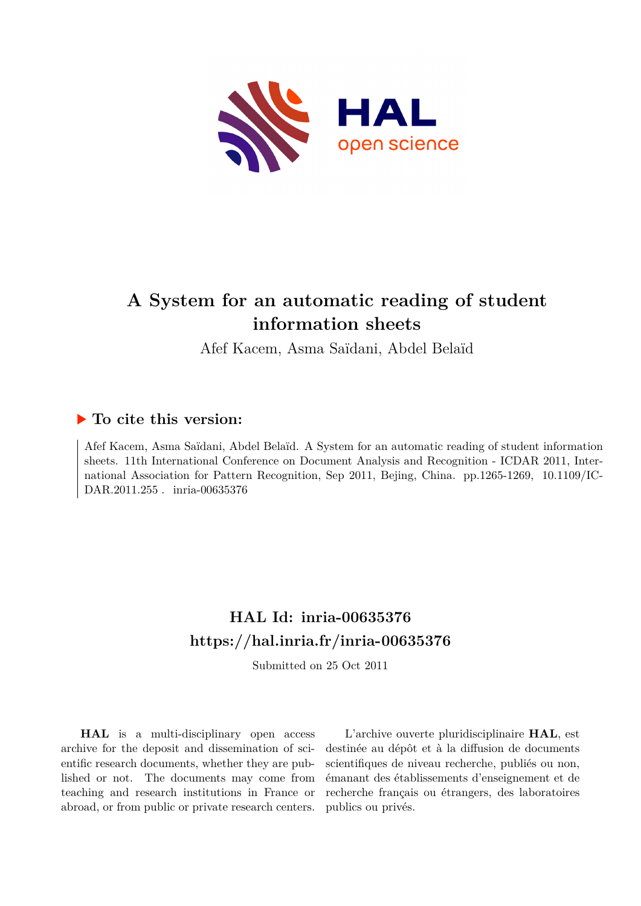

# **A System for an automatic reading of student information sheets**

Afef Kacem, Asma Saïdani, Abdel Belaïd

### **To cite this version:**

Afef Kacem, Asma Saïdani, Abdel Belaïd. A System for an automatic reading of student information sheets. 11th International Conference on Document Analysis and Recognition - ICDAR 2011, International Association for Pattern Recognition, Sep 2011, Bejing, China. pp.1265-1269, 10.1109/IC-DAR.2011.255 . inria-00635376

## **HAL Id: inria-00635376 <https://hal.inria.fr/inria-00635376>**

Submitted on 25 Oct 2011

**HAL** is a multi-disciplinary open access archive for the deposit and dissemination of scientific research documents, whether they are published or not. The documents may come from teaching and research institutions in France or abroad, or from public or private research centers.

L'archive ouverte pluridisciplinaire **HAL**, est destinée au dépôt et à la diffusion de documents scientifiques de niveau recherche, publiés ou non, émanant des établissements d'enseignement et de recherche français ou étrangers, des laboratoires publics ou privés.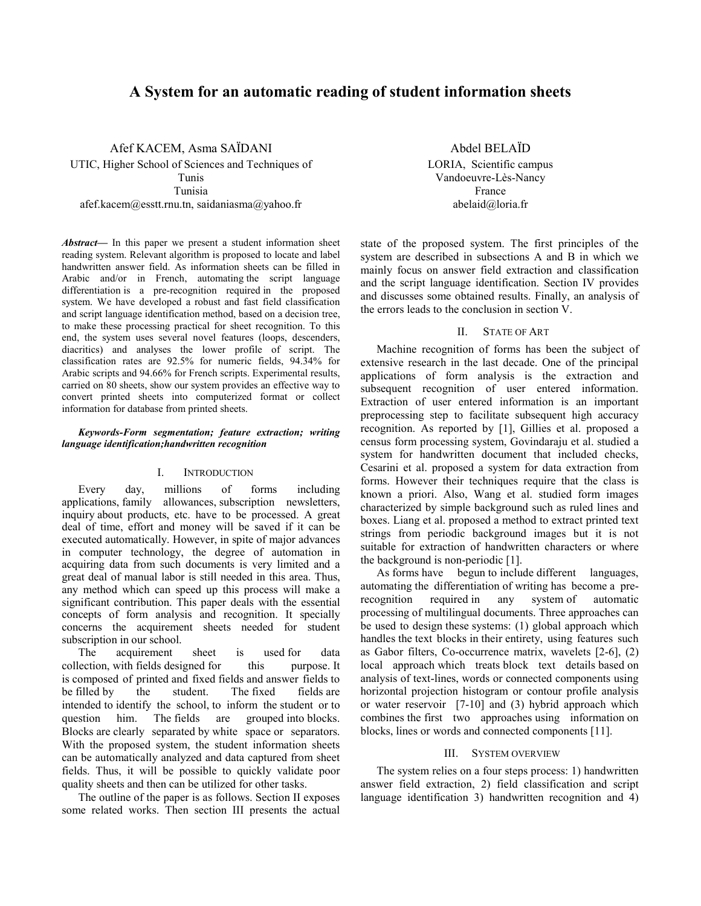### **A System for an automatic reading of student information sheets**

Afef KACEM, Asma SAÏDANI UTIC, Higher School of Sciences and Techniques of Tunis Tunisia afef.kacem@esstt.rnu.tn, saidaniasma@yahoo.fr

*Abstract***—** In this paper we present a student information sheet reading system. Relevant algorithm is proposed to locate and label handwritten answer field. As information sheets can be filled in Arabic and/or in French, automating the script language differentiation is a pre-recognition required in the proposed system. We have developed a robust and fast field classification and script language identification method, based on a decision tree, to make these processing practical for sheet recognition. To this end, the system uses several novel features (loops, descenders, diacritics) and analyses the lower profile of script. The classification rates are 92.5% for numeric fields, 94.34% for Arabic scripts and 94.66% for French scripts. Experimental results, carried on 80 sheets, show our system provides an effective way to convert printed sheets into computerized format or collect information for database from printed sheets.

#### *Keywords-Form segmentation; feature extraction; writing language identification;handwritten recognition*

#### I. INTRODUCTION

Every day, millions of forms including applications, family allowances, subscription newsletters, inquiry about products, etc. have to be processed. A great deal of time, effort and money will be saved if it can be executed automatically. However, in spite of major advances in computer technology, the degree of automation in acquiring data from such documents is very limited and a great deal of manual labor is still needed in this area. Thus, any method which can speed up this process will make a significant contribution. This paper deals with the essential concepts of form analysis and recognition. It specially concerns the acquirement sheets needed for student subscription in our school.

The acquirement sheet is used for data collection, with fields designed for this purpose. It is composed of printed and fixed fields and answer fields to be filled by the student. The fixed fields are intended to identify the school, to inform the student or to question him. The fields are grouped into blocks. Blocks are clearly separated by white space or separators. With the proposed system, the student information sheets can be automatically analyzed and data captured from sheet fields. Thus, it will be possible to quickly validate poor quality sheets and then can be utilized for other tasks.

The outline of the paper is as follows. Section II exposes some related works. Then section III presents the actual

Abdel BELAÏD LORIA, Scientific campus Vandoeuvre-Lès-Nancy France abelaid@loria.fr

state of the proposed system. The first principles of the system are described in subsections A and B in which we mainly focus on answer field extraction and classification and the script language identification. Section IV provides and discusses some obtained results. Finally, an analysis of the errors leads to the conclusion in section V.

#### II. STATE OF ART

Machine recognition of forms has been the subject of extensive research in the last decade. One of the principal applications of form analysis is the extraction and subsequent recognition of user entered information. Extraction of user entered information is an important preprocessing step to facilitate subsequent high accuracy recognition. As reported by [1], Gillies et al. proposed a census form processing system, Govindaraju et al. studied a system for handwritten document that included checks, Cesarini et al. proposed a system for data extraction from forms. However their techniques require that the class is known a priori. Also, Wang et al. studied form images characterized by simple background such as ruled lines and boxes. Liang et al. proposed a method to extract printed text strings from periodic background images but it is not suitable for extraction of handwritten characters or where the background is non-periodic [1].

As forms have begun to include different languages, automating the differentiation of writing has become a prerecognition required in any system of automatic processing of multilingual documents. Three approaches can be used to design these systems: (1) global approach which handles the text blocks in their entirety, using features such as Gabor filters, Co-occurrence matrix, wavelets [2-6], (2) local approach which treats block text details based on analysis of text-lines, words or connected components using horizontal projection histogram or contour profile analysis or water reservoir [7-10] and (3) hybrid approach which combines the first two approaches using information on blocks, lines or words and connected components [11].

#### III. SYSTEM OVERVIEW

The system relies on a four steps process: 1) handwritten answer field extraction, 2) field classification and script language identification 3) handwritten recognition and 4)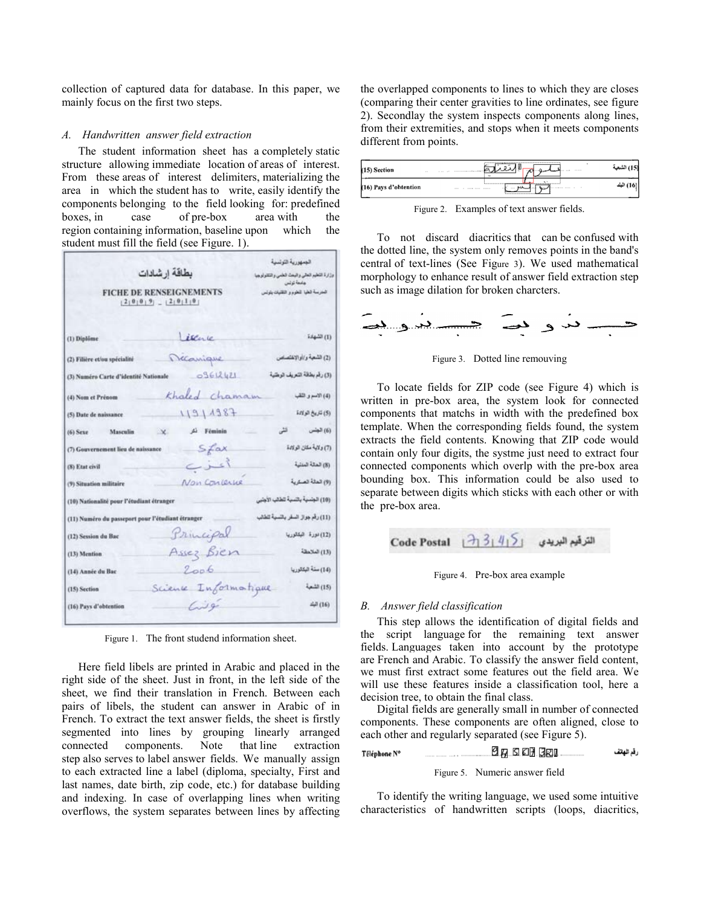collection of captured data for database. In this paper, we mainly focus on the first two steps.

#### *A. Handwritten answer field extraction*

The student information sheet has a completely static structure allowing immediate location of areas of interest. From these areas of interest delimiters, materializing the area in which the student has to write, easily identify the components belonging to the field looking for: predefined boxes, in case of pre-box area with the region containing information, baseline upon which the student must fill the field (see Figure. 1).

| بطاقة إرشادات<br><b>FICHE DE RENSEIGNEMENTS</b><br>$(2,0,0,9) - (2,0,1,0)$ | الصهورية التوتسية<br>وزارة اللطيم العالى والبعث الطمى واللقلولوجيا<br>هامعة توتس<br>المدرسة العليا التخوم والتقليك بثوتس |                                                        |
|----------------------------------------------------------------------------|--------------------------------------------------------------------------------------------------------------------------|--------------------------------------------------------|
| (1) Diplôme                                                                | isense                                                                                                                   | E44-23 (1)                                             |
| (2) Filière et/ou spécialité                                               | Manique                                                                                                                  | (2) الشعبة و/أوالانتصاص                                |
| (3) Numéro Carte d'identité Nationale                                      | 03612621                                                                                                                 | (3) رقم بطالة التعريف الوطنية                          |
| (4) Nom et Prénom                                                          | Khaled chamam                                                                                                            | (4) الاسم و اللقب                                      |
| (5) Date de naissance.                                                     | F8811811                                                                                                                 | (5) تاريخ الولادة                                      |
| Masculin<br>$(6)$ Sexe                                                     | 45 Féminin<br>$\mathbf{x}$                                                                                               | (6) الجنس<br>ا قتلی                                    |
| (7) Gouvernement lieu de naissance                                         | $S$ $\neq \alpha$ X                                                                                                      | (7) ولاية مقان الولادة                                 |
| (8) Etat civil                                                             | أعذب                                                                                                                     | (8) المالة المنتية                                     |
| (9) Situation militaire                                                    | Non Contenue                                                                                                             | (9) المالة الصكرية                                     |
| (10) Nationalité pour l'étudiant étranger                                  |                                                                                                                          | (10) الجَسَيَةَ بِالنَّسَبَةَ تَنْظَانِبَ الأَجْنَبِيَ |
| (11) Numéro du passeport pour l'étudiant étranger                          |                                                                                                                          | (11) رقم جواز السفر بالتسية للطالب                     |
| (12) Session du Bac                                                        | Principal                                                                                                                | (12) نورة البكالوريا                                   |
| (13) Mention                                                               | Assez Bien                                                                                                               | (13) المخطة                                            |
| (14) Année du Bac                                                          | 2006                                                                                                                     | (14) سنة البكالوزيا                                    |
| (15) Section                                                               | Science Informatique                                                                                                     | (15) الشعبة                                            |
| (16) Pays d'obtention                                                      | City                                                                                                                     | 44 (16)                                                |

Figure 1. The front studend information sheet.

Here field libels are printed in Arabic and placed in the right side of the sheet. Just in front, in the left side of the sheet, we find their translation in French. Between each pairs of libels, the student can answer in Arabic of in French. To extract the text answer fields, the sheet is firstly segmented into lines by grouping linearly arranged connected components. Note that line extraction step also serves to label answer fields. We manually assign to each extracted line a label (diploma, specialty, First and last names, date birth, zip code, etc.) for database building and indexing. In case of overlapping lines when writing overflows, the system separates between lines by affecting the overlapped components to lines to which they are closes (comparing their center gravities to line ordinates, see figure 2). Secondlay the system inspects components along lines, from their extremities, and stops when it meets components different from points.

| (15) Section          | -----------------<br><b>A R R R R</b><br>.<br><br>$\sim$ | (15 الشعبة |
|-----------------------|----------------------------------------------------------|------------|
| (16) Pays d'obtention | $\sim$<br><b>A</b><br>$\cdots$<br><br>-----<br>          |            |

Figure 2. Examples of text answer fields.

To not discard diacritics that can be confused with the dotted line, the system only removes points in the band's central of text-lines (See Figure 3). We used mathematical morphology to enhance result of answer field extraction step such as image dilation for broken charcters.



Figure 3. Dotted line remouving

To locate fields for ZIP code (see Figure 4) which is written in pre-box area, the system look for connected components that matchs in width with the predefined box template. When the corresponding fields found, the system extracts the field contents. Knowing that ZIP code would contain only four digits, the systme just need to extract four connected components which overlp with the pre-box area bounding box. This information could be also used to separate between digits which sticks with each other or with the pre-box area.



#### *B. Answer field classification*

This step allows the identification of digital fields and the script language for the remaining text answer fields. Languages taken into account by the prototype are French and Arabic. To classify the answer field content, we must first extract some features out the field area. We will use these features inside a classification tool, here a decision tree, to obtain the final class.

Digital fields are generally small in number of connected components. These components are often aligned, close to each other and regularly separated (see Figure 5).

#### Figure 5. Numeric answer field

To identify the writing language, we used some intuitive characteristics of handwritten scripts (loops, diacritics,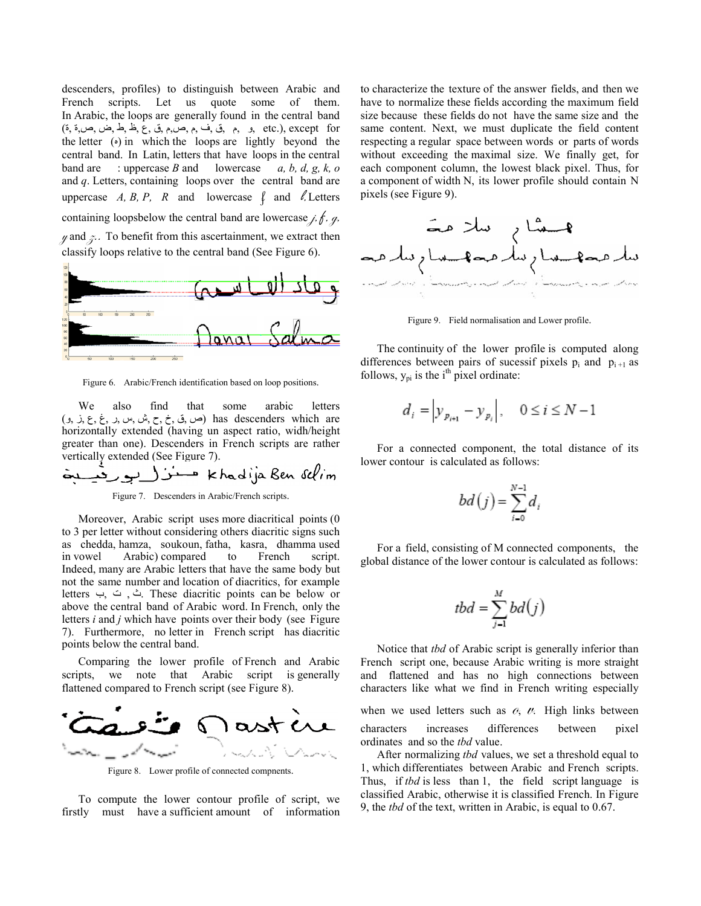descenders, profiles) to distinguish between Arabic and French scripts. Let us quote some of them. In Arabic, the loops are generally found in the central band for except ,).etc ,و ,م ,ق ,ف ,م ,ص,م ,ق ,ع ,ظ ,ط ,ض ,ص,ة ,ة) the letter  $\left( \cdot \right)$  in which the loops are lightly beyond the central band. In Latin, letters that have loops in the central band are : uppercase *B* and lowercase *a, b, d, g, k, o*  and *q*. Letters, containing loops over the central band are uppercase *A, B, P, R* and lowercase  $\ell$  and  $\ell$ . Letters containing loopsbelow the central band are lowercase  $j, f, g$ ,

y and  $\tilde{z}$ . To benefit from this ascertainment, we extract then classify loops relative to the central band (See Figure 6).



Figure 6. Arabic/French identification based on loop positions.

We also find that some arabic letters are which descenders has) ص ,ق ,خ ,ح ,ش ,س ,ر ,غ ,ع ,ڒ ,و) horizontally extended (having un aspect ratio, widh/height greater than one). Descenders in French scripts are rather vertically extended (See Figure 7).

Figure 7. Descenders in Arabic/French scripts.

Moreover, Arabic script uses more diacritical points (0 to 3 per letter without considering others diacritic signs such as chedda, hamza, soukoun, fatha, kasra, dhamma used in vowel Arabic) compared to French script. Indeed, many are Arabic letters that have the same body but not the same number and location of diacritics, for example letters ب, ت , ث. These diacritic points can be below or above the central band of Arabic word. In French, only the letters *i* and *j* which have points over their body (see Figure 7). Furthermore, no letter in French script has diacritic points below the central band.

Comparing the lower profile of French and Arabic scripts, we note that Arabic script is generally flattened compared to French script (see Figure 8).



Figure 8. Lower profile of connected compnents.

To compute the lower contour profile of script, we firstly must have a sufficient amount of information to characterize the texture of the answer fields, and then we have to normalize these fields according the maximum field size because these fields do not have the same size and the same content. Next, we must duplicate the field content respecting a regular space between words or parts of words without exceeding the maximal size. We finally get, for each component column, the lowest black pixel. Thus, for a component of width N, its lower profile should contain N pixels (see Figure 9).



Figure 9. Field normalisation and Lower profile.

The continuity of the lower profile is computed along differences between pairs of sucessif pixels  $p_i$  and  $p_{i+1}$  as follows,  $y_{pi}$  is the i<sup>th</sup> pixel ordinate:

$$
d_i = |y_{p_{i+1}} - y_{p_i}|, \quad 0 \le i \le N-1
$$

For a connected component, the total distance of its lower contour is calculated as follows:

$$
bd(j) = \sum_{i=0}^{N-1} d_i
$$

For a field, consisting of M connected components, the global distance of the lower contour is calculated as follows:

$$
tbd = \sum_{j=1}^{M} bd(j)
$$

Notice that *tbd* of Arabic script is generally inferior than French script one, because Arabic writing is more straight and flattened and has no high connections between characters like what we find in French writing especially

when we used letters such as  $\mathcal{O}_2$ ,  $\mathcal{O}_3$ . High links between characters increases differences between pixel ordinates and so the *tbd* value.

After normalizing *tbd* values, we set a threshold equal to 1, which differentiates between Arabic and French scripts. Thus, if *tbd* is less than 1, the field script language is classified Arabic, otherwise it is classified French. In Figure 9, the *tbd* of the text, written in Arabic, is equal to 0.67.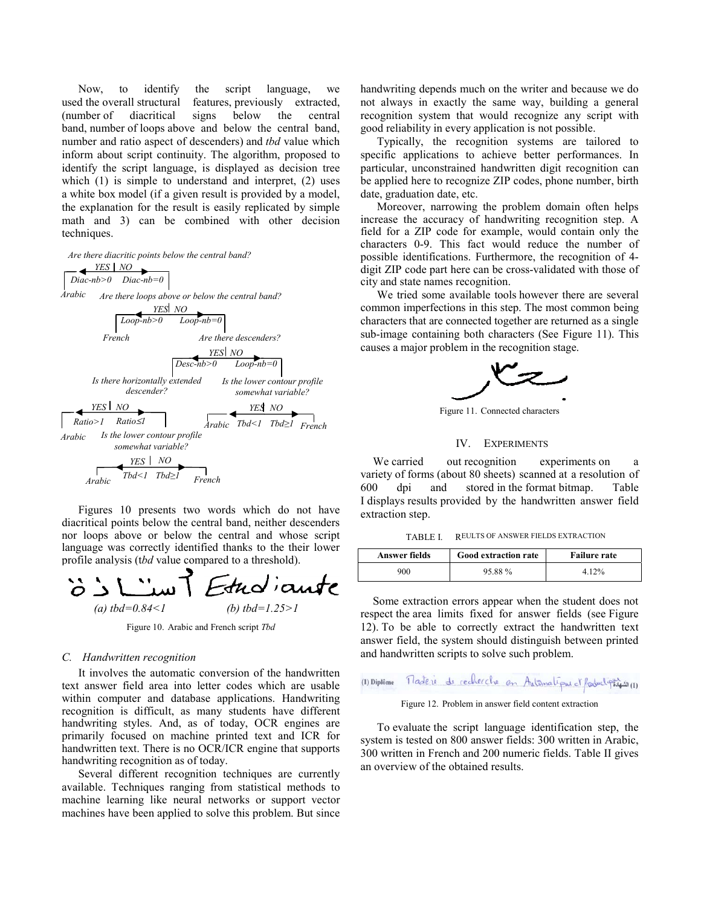Now, to identify the script language, we used the overall structural features, previously extracted, (number of diacritical signs below the central band, number of loops above and below the central band, number and ratio aspect of descenders) and *tbd* value which inform about script continuity. The algorithm, proposed to identify the script language, is displayed as decision tree which (1) is simple to understand and interpret, (2) uses a white box model (if a given result is provided by a model, the explanation for the result is easily replicated by simple math and 3) can be combined with other decision techniques.



Figures 10 presents two words which do not have diacritical points below the central band, neither descenders nor loops above or below the central and whose script language was correctly identified thanks to the their lower profile analysis (t*bd* value compared to a threshold).



Figure 10. Arabic and French script *Tbd*

#### *C. Handwritten recognition*

It involves the automatic conversion of the handwritten text answer field area into letter codes which are usable within computer and database applications. Handwriting recognition is difficult, as many students have different handwriting styles. And, as of today, OCR engines are primarily focused on machine printed text and ICR for handwritten text. There is no OCR/ICR engine that supports handwriting recognition as of today.

Several different recognition techniques are currently available. Techniques ranging from statistical methods to machine learning like neural networks or support vector machines have been applied to solve this problem. But since handwriting depends much on the writer and because we do not always in exactly the same way, building a general recognition system that would recognize any script with good reliability in every application is not possible.

Typically, the recognition systems are tailored to specific applications to achieve better performances. In particular, unconstrained handwritten digit recognition can be applied here to recognize ZIP codes, phone number, birth date, graduation date, etc.

Moreover, narrowing the problem domain often helps increase the accuracy of handwriting recognition step. A field for a ZIP code for example, would contain only the characters 0-9. This fact would reduce the number of possible identifications. Furthermore, the recognition of 4 digit ZIP code part here can be cross-validated with those of city and state names recognition.

We tried some available tools however there are several common imperfections in this step. The most common being characters that are connected together are returned as a single sub-image containing both characters (See Figure 11). This causes a major problem in the recognition stage.



Figure 11. Connected characters

#### IV. EXPERIMENTS

We carried out recognition experiments on a variety of forms (about 80 sheets) scanned at a resolution of 600 dpi and stored in the format bitmap. Table I displays results provided by the handwritten answer field extraction step.

TABLE I. REULTS OF ANSWER FIELDS EXTRACTION

| <b>Answer fields</b> | <b>Good extraction rate</b> | <b>Failure rate</b> |  |
|----------------------|-----------------------------|---------------------|--|
| 900                  | 95.88%                      | 4.12%               |  |

Some extraction errors appear when the student does not respect the area limits fixed for answer fields (see Figure 12). To be able to correctly extract the handwritten text answer field, the system should distinguish between printed and handwritten scripts to solve such problem.

Figure 12. Problem in answer field content extraction

To evaluate the script language identification step, the system is tested on 800 answer fields: 300 written in Arabic, 300 written in French and 200 numeric fields. Table II gives an overview of the obtained results.